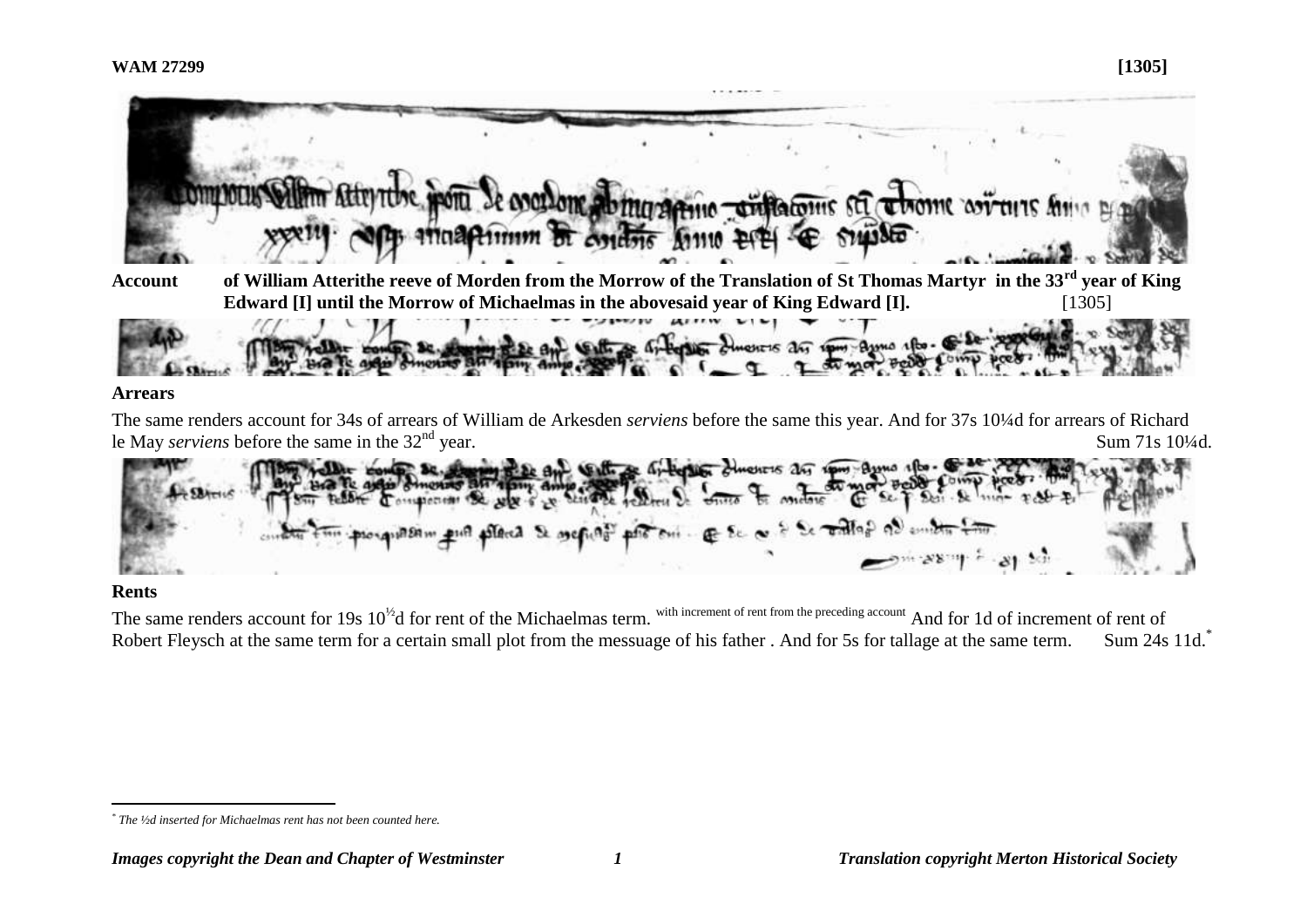

The same renders account for 34s of arrears of William de Arkesden *serviens* before the same this year. And for 37s 10¼d for arrears of Richard le May *serviens* before the same in the  $32<sup>nd</sup>$  year. Sum 71s 10<sup>1</sup>/4d.



## **Rents**

The same renders account for 19s  $10^{1/2}$ d for rent of the Michaelmas term. With increment of rent from the preceding account And for 1d of increment of rent of Robert Fleysch at the same term for a certain small plot from the messuage of his father . And for 5s for tallage at the same term. Sum 24s 11d.\*

 $\overline{a}$ *\* The ½d inserted for Michaelmas rent has not been counted here.*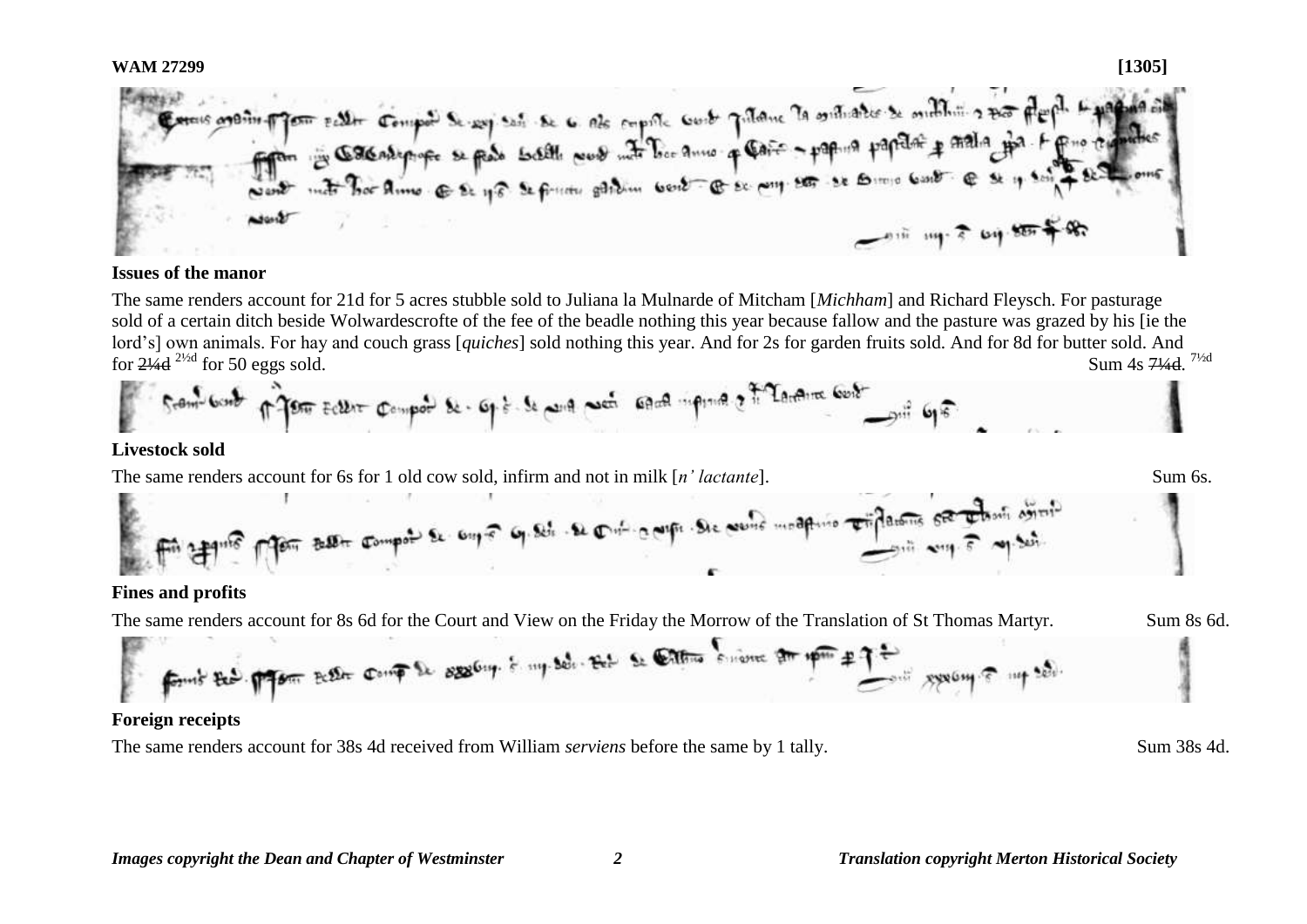**WAM 27299 [1305]** Term putter computer se seg set se c ets empore contr putane la oritiate se militaire para playa. Las **2018 mg 7 6g 88** 

### **Issues of the manor**

The same renders account for 21d for 5 acres stubble sold to Juliana la Mulnarde of Mitcham [*Michham*] and Richard Fleysch. For pasturage sold of a certain ditch beside Wolwardescrofte of the fee of the beadle nothing this year because fallow and the pasture was grazed by his [ie the lord's] own animals. For hay and couch grass [*quiches*] sold nothing this year. And for 2s for garden fruits sold. And for 8d for butter sold. And for  $2\frac{1}{4}$ d  $2\frac{1}{4}$  for 50 eggs sold. Sum 4s 71/4d 71/2d



### **Livestock sold**

The same renders account for 6s for 1 old cow sold, infirm and not in milk [*n' lactante*]. Sum 6s. Sum 6s.



## **Fines and profits**

The same renders account for 8s 6d for the Court and View on the Friday the Morrow of the Translation of St Thomas Martyr. Sum 8s 6d.



## **Foreign receipts**

The same renders account for 38s 4d received from William *serviens* before the same by 1 tally. Sum 38s 4d.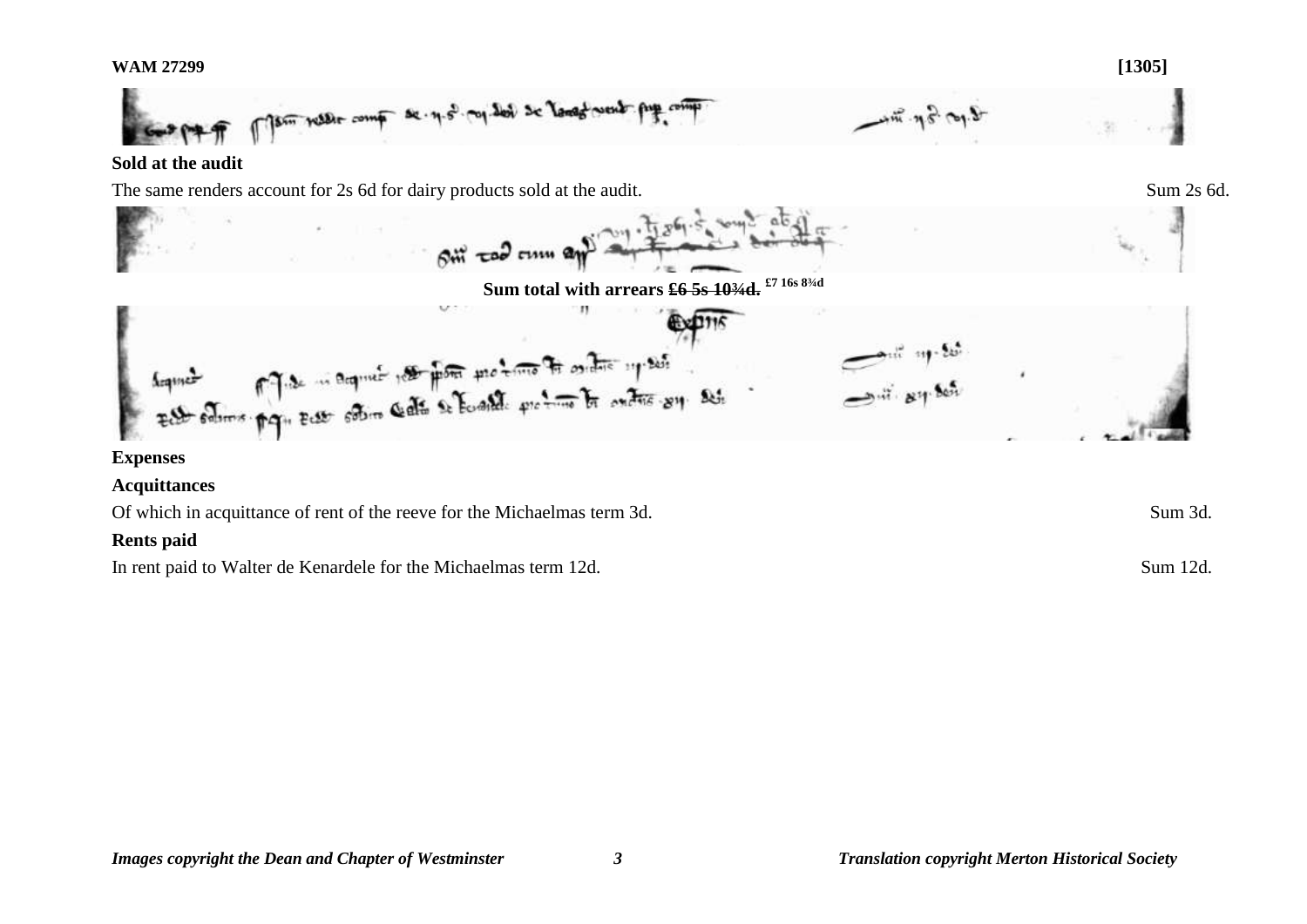

## **Sold at the audit**

The same renders account for 2s 6d for dairy products sold at the audit. Sum 2s 6d.



## **Expenses**

## **Acquittances**

Of which in acquittance of rent of the reeve for the Michaelmas term 3d. Sum 3d.

## **Rents paid**

In rent paid to Walter de Kenardele for the Michaelmas term 12d. Sum 12d.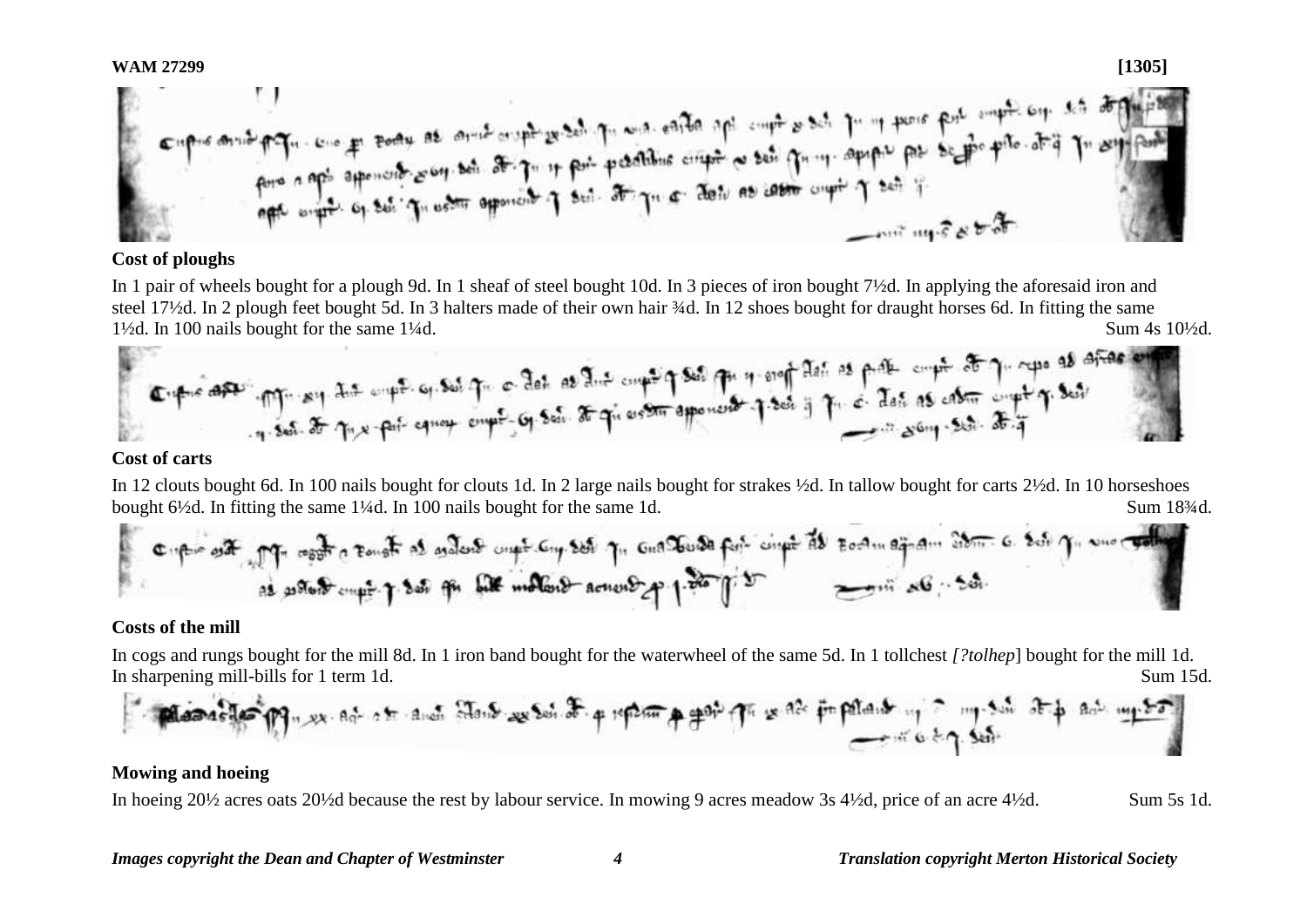**WAM 27299 [1305]**

### **Cost of ploughs**

In 1 pair of wheels bought for a plough 9d. In 1 sheaf of steel bought 10d. In 3 pieces of iron bought 7½d. In applying the aforesaid iron and steel 17½d. In 2 plough feet bought 5d. In 3 halters made of their own hair ¼d. In 12 shoes bought for draught horses 6d. In fitting the same 1½d. In 100 nails bought for the same 1¼d. Sum 4s 10½d.



In 12 clouts bought 6d. In 100 nails bought for clouts 1d. In 2 large nails bought for strakes ½d. In tallow bought for carts 2½d. In 10 horseshoes bought 6½d. In fitting the same 1¼d. In 100 nails bought for the same 1d. Sum 18<sup>3</sup>/4d.

### **Costs of the mill**

In cogs and rungs bought for the mill 8d. In 1 iron band bought for the waterwheel of the same 5d. In 1 tollchest *[?tolhep*] bought for the mill 1d. In sharpening mill-bills for 1 term 1d. Sum 15d.

## **Mowing and hoeing**

In hoeing 20½ acres oats 20½d because the rest by labour service. In mowing 9 acres meadow 3s 4½d, price of an acre 4½d. Sum 5s 1d.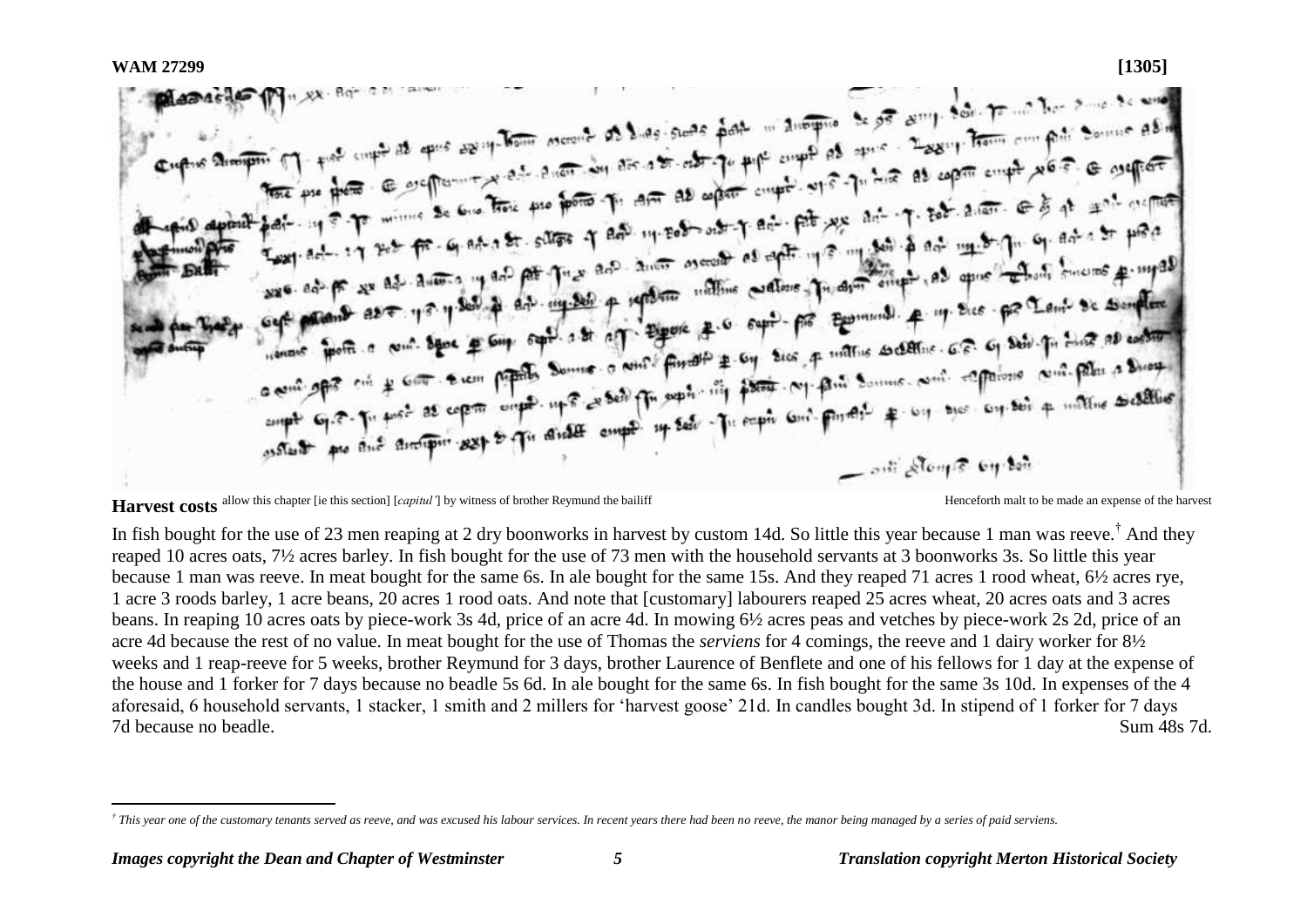WAM 27299 **[1305]**<br> **Expires 2notation** (1) the compass are seen to consider a last such space with the state of any securities of a such as a securities of the second securities of the second securities of the second secu tore pur from a surfactor and there are a post of any rest of the search of the season of the season of the season of the season of the season of the season of the season of the season of the season of the season of the se pai- 19 = 7 minus se en une por primeri de mesos est que pet exe ani- que pet anome e a que est est precedent<br>Esqued-17 set fr - 6 at a fr - sures q an une est es anita est en est precedent de la set de la set en est en<br>es Example 21 202 fr. 4 at 1 37 states of any and all other products of any state of the most of the second from sure as pr us as always in the property of the state of the state of the state of the state of the state of the state of the state of the state of the state of the state of the state of the state of the state of the state cept promot aver you promote and a to of the past a compte promote section of a best primerile and the section when point a comment of the Sound of the photo the search with such and comment of the search of the summer of the search of the search of the search of the search of the search of the search of the search of the search of o entirely mit to come a copy on the comptete empt. If see The paper control that some even see any set a militime societies - out Along & by don

Harvest costs allow this chapter [ie this section] [*capitul'*] by witness of brother Reymund the bailiff Henceforth malt to be made an expense of the harvest

In fish bought for the use of 23 men reaping at 2 dry boonworks in harvest by custom 14d. So little this year because 1 man was reeve.<sup>†</sup> And they reaped 10 acres oats, 7½ acres barley. In fish bought for the use of 73 men with the household servants at 3 boonworks 3s. So little this year because 1 man was reeve. In meat bought for the same 6s. In ale bought for the same 15s. And they reaped 71 acres 1 rood wheat, 6½ acres rye, 1 acre 3 roods barley, 1 acre beans, 20 acres 1 rood oats. And note that [customary] labourers reaped 25 acres wheat, 20 acres oats and 3 acres beans. In reaping 10 acres oats by piece-work 3s 4d, price of an acre 4d. In mowing 6½ acres peas and vetches by piece-work 2s 2d, price of an acre 4d because the rest of no value. In meat bought for the use of Thomas the *serviens* for 4 comings, the reeve and 1 dairy worker for 8½ weeks and 1 reap-reeve for 5 weeks, brother Reymund for 3 days, brother Laurence of Benflete and one of his fellows for 1 day at the expense of the house and 1 forker for 7 days because no beadle 5s 6d. In ale bought for the same 6s. In fish bought for the same 3s 10d. In expenses of the 4 aforesaid, 6 household servants, 1 stacker, 1 smith and 2 millers for 'harvest goose' 21d. In candles bought 3d. In stipend of 1 forker for 7 days 7d because no beadle. Sum 48s 7d.

 $\overline{a}$ *† This year one of the customary tenants served as reeve, and was excused his labour services. In recent years there had been no reeve, the manor being managed by a series of paid serviens.*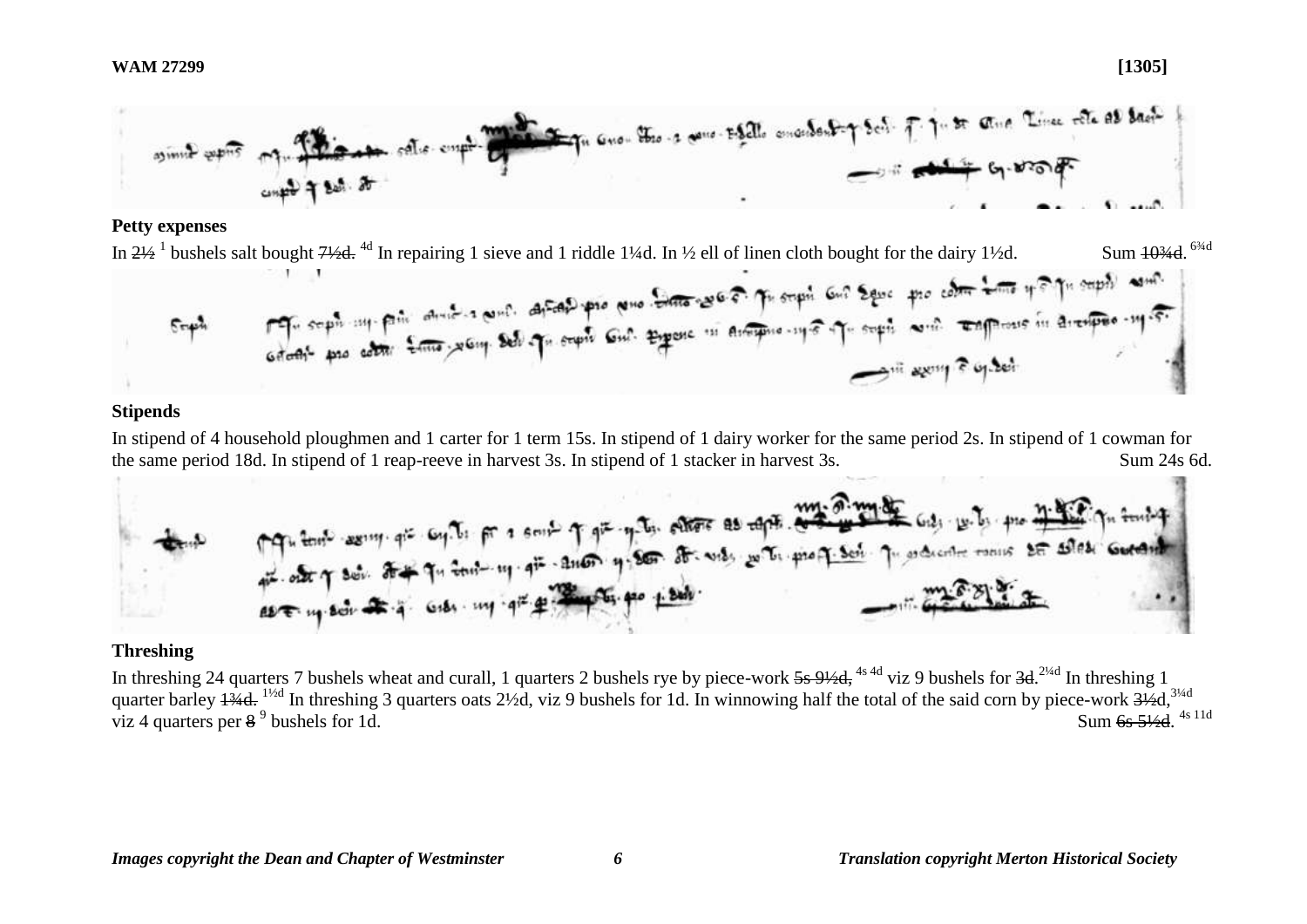

## **Petty expenses**



## **Stipends**

In stipend of 4 household ploughmen and 1 carter for 1 term 15s. In stipend of 1 dairy worker for the same period 2s. In stipend of 1 cowman for the same period 18d. In stipend of 1 reap-reeve in harvest 3s. In stipend of 1 stacker in harvest 3s. Sum 24s 6d.



# **Threshing**

In threshing 24 quarters 7 bushels wheat and curall, 1 quarters 2 bushels rye by piece-work 5s 9½d, <sup>4s 4d</sup> viz 9 bushels for 3d.<sup>2¼d</sup> In threshing 1 quarter barley  $\frac{1}{4}$ d. <sup>11/2d</sup> In threshing 3 quarters oats 2<sup>1</sup>/2d, viz 9 bushels for 1d. In winnowing half the total of the said corn by piece-work  $\frac{31}{2}$ d,<sup>31/4d</sup> viz 4 quarters per  $8^9$  bushels for 1d. Sum 6s  $5\frac{1}{2}$ d. Sum 6s 51/<sub>3</sub>d 4s 11d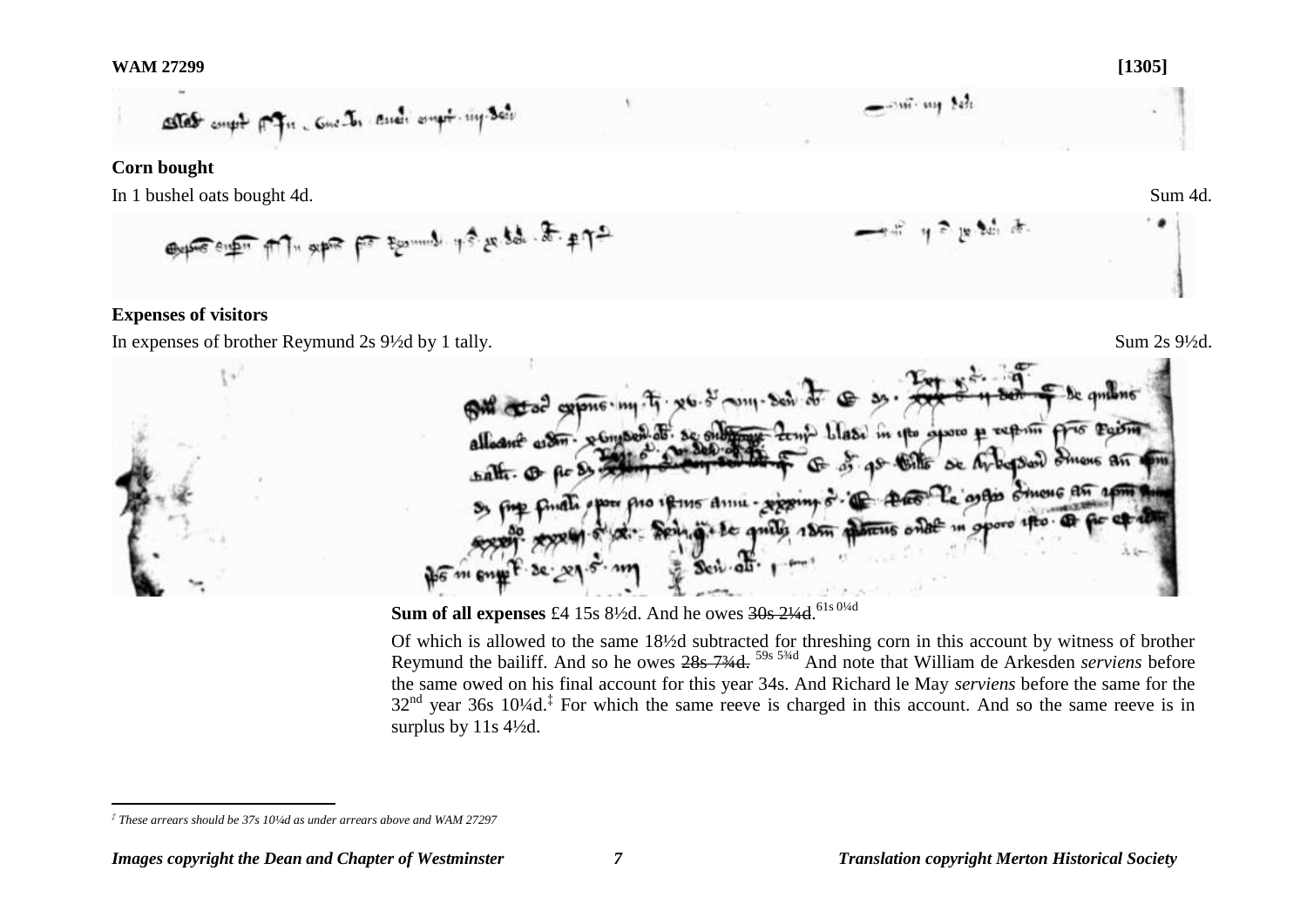

## **Corn bought**

In 1 bushel oats bought 4d. Sum 4d.

 $\mathbb{P}^{\mathsf{F}}\leftarrow \mathbb{P}^{\mathsf{F}}\leftarrow \mathbb{P}^{\mathsf{F}}\leftarrow \mathbb{P}^{\mathsf{F}}\leftarrow \mathbb{P}^{\mathsf{F}}\leftarrow \mathbb{P}^{\mathsf{F}}\leftarrow \mathbb{P}^{\mathsf{F}}\leftarrow \mathbb{P}^{\mathsf{F}}\leftarrow \mathbb{P}^{\mathsf{F}}\leftarrow \mathbb{P}^{\mathsf{F}}\leftarrow \mathbb{P}^{\mathsf{F}}\leftarrow \mathbb{P}^{\mathsf{F}}\leftarrow \mathbb{P}^{\mathsf{F}}\leftarrow \mathbb{P}^{\mathsf{F$ 

## **Expenses of visitors**

In expenses of brother Reymund 2s  $9\frac{1}{2}$  by 1 tally. Sum 2s  $9\frac{1}{2}$ .





**Sum of all expenses** £4 15s 8½d. And he owes <del>30s 2¼d</del>.<sup>61s 0¼d</sup>

Of which is allowed to the same 18½d subtracted for threshing corn in this account by witness of brother Reymund the bailiff. And so he owes 28s 7¾d. 59s 5¾d And note that William de Arkesden *serviens* before the same owed on his final account for this year 34s. And Richard le May *serviens* before the same for the  $32<sup>nd</sup>$  year 36s 10¼d.<sup>‡</sup> For which the same reeve is charged in this account. And so the same reeve is in surplus by 11s 4½d.

 $\overline{a}$ *‡ These arrears should be 37s 10¼d as under arrears above and WAM 27297*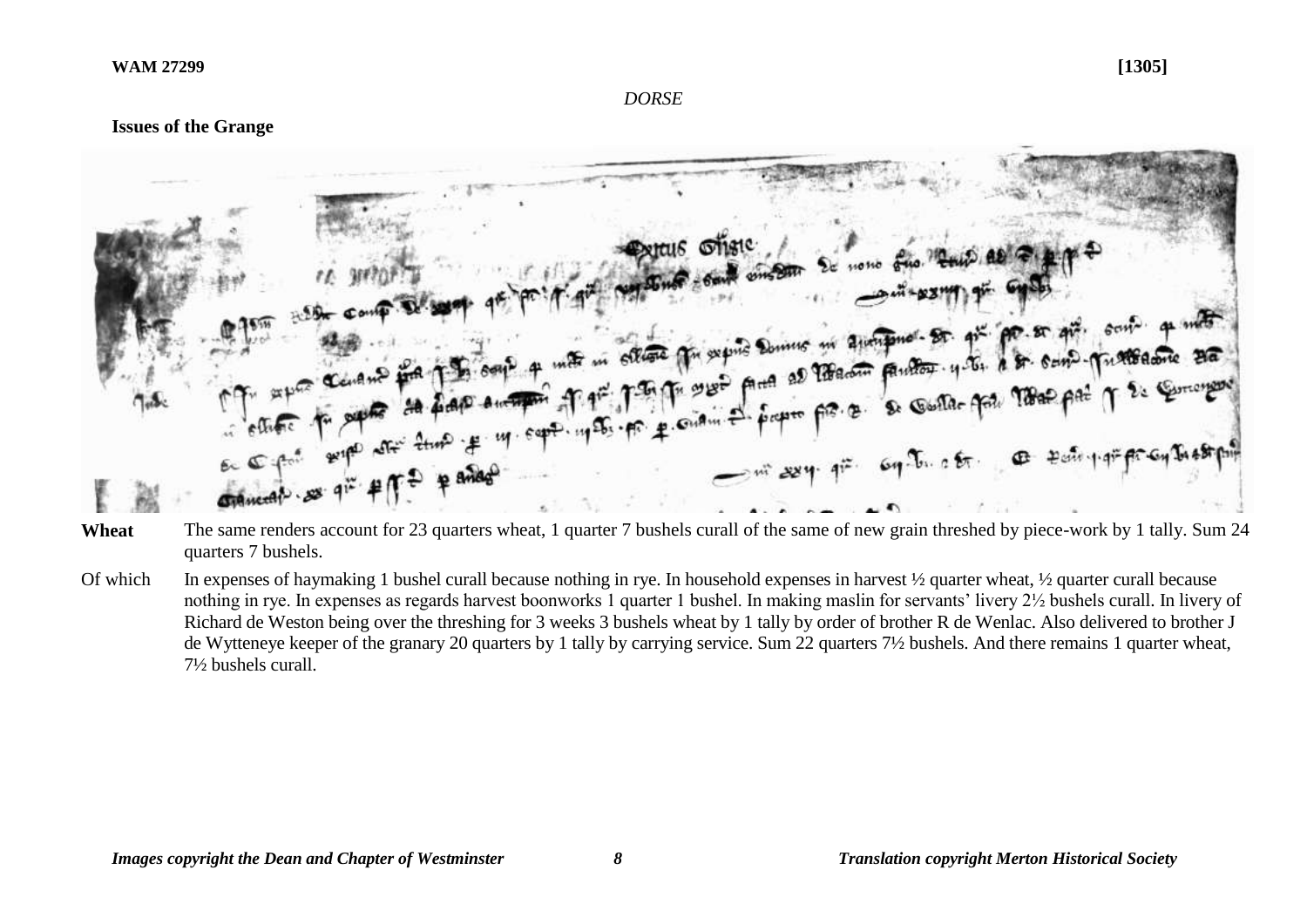#### *DORSE*

## **Issues of the Grange**



- Wheat The same renders account for 23 quarters wheat, 1 quarter 7 bushels curall of the same of new grain threshed by piece-work by 1 tally. Sum 24 quarters 7 bushels.
- Of which In expenses of haymaking 1 bushel curall because nothing in rye. In household expenses in harvest  $\frac{1}{2}$  quarter wheat,  $\frac{1}{2}$  quarter curall because nothing in rye. In expenses as regards harvest boonworks 1 quarter 1 bushel. In making maslin for servants' livery 2½ bushels curall. In livery of Richard de Weston being over the threshing for 3 weeks 3 bushels wheat by 1 tally by order of brother R de Wenlac. Also delivered to brother J de Wytteneye keeper of the granary 20 quarters by 1 tally by carrying service. Sum 22 quarters 7½ bushels. And there remains 1 quarter wheat, 7½ bushels curall.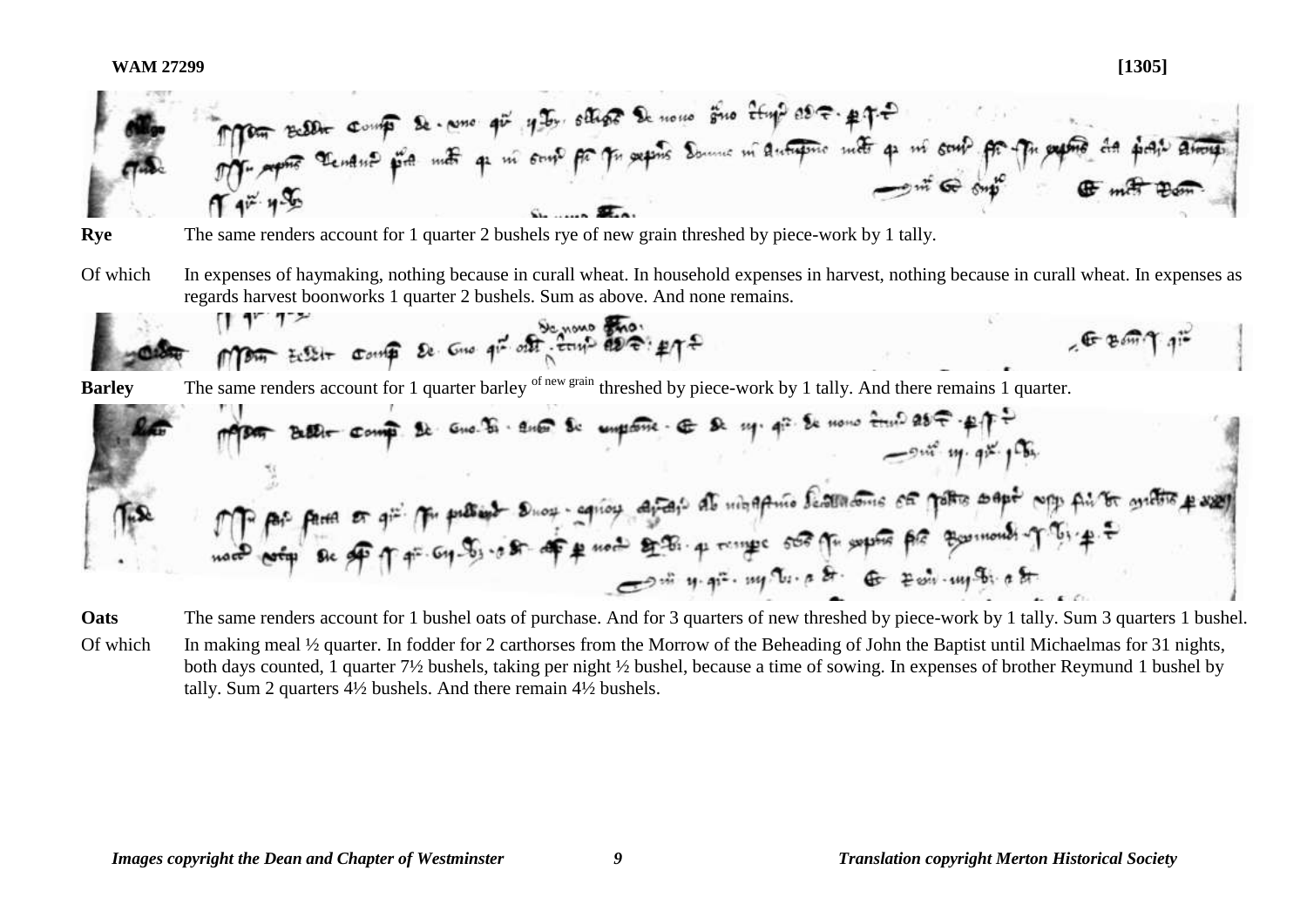**WAM 27299 [1305]**

- **Rye** The same renders account for 1 quarter 2 bushels rye of new grain threshed by piece-work by 1 tally.
- Of which In expenses of haymaking, nothing because in curall wheat. In household expenses in harvest, nothing because in curall wheat. In expenses as regards harvest boonworks 1 quarter 2 bushels. Sum as above. And none remains.

**Barley** The same renders account for 1 quarter barley of new grain threshed by piece-work by 1 tally. And there remains 1 quarter.

**Oats** The same renders account for 1 bushel oats of purchase. And for 3 quarters of new threshed by piece-work by 1 tally. Sum 3 quarters 1 bushel. Of which In making meal <sup>1/2</sup> quarter. In fodder for 2 carthorses from the Morrow of the Beheading of John the Baptist until Michaelmas for 31 nights,

both days counted, 1 quarter 7½ bushels, taking per night ½ bushel, because a time of sowing. In expenses of brother Reymund 1 bushel by tally. Sum 2 quarters 4½ bushels. And there remain 4½ bushels.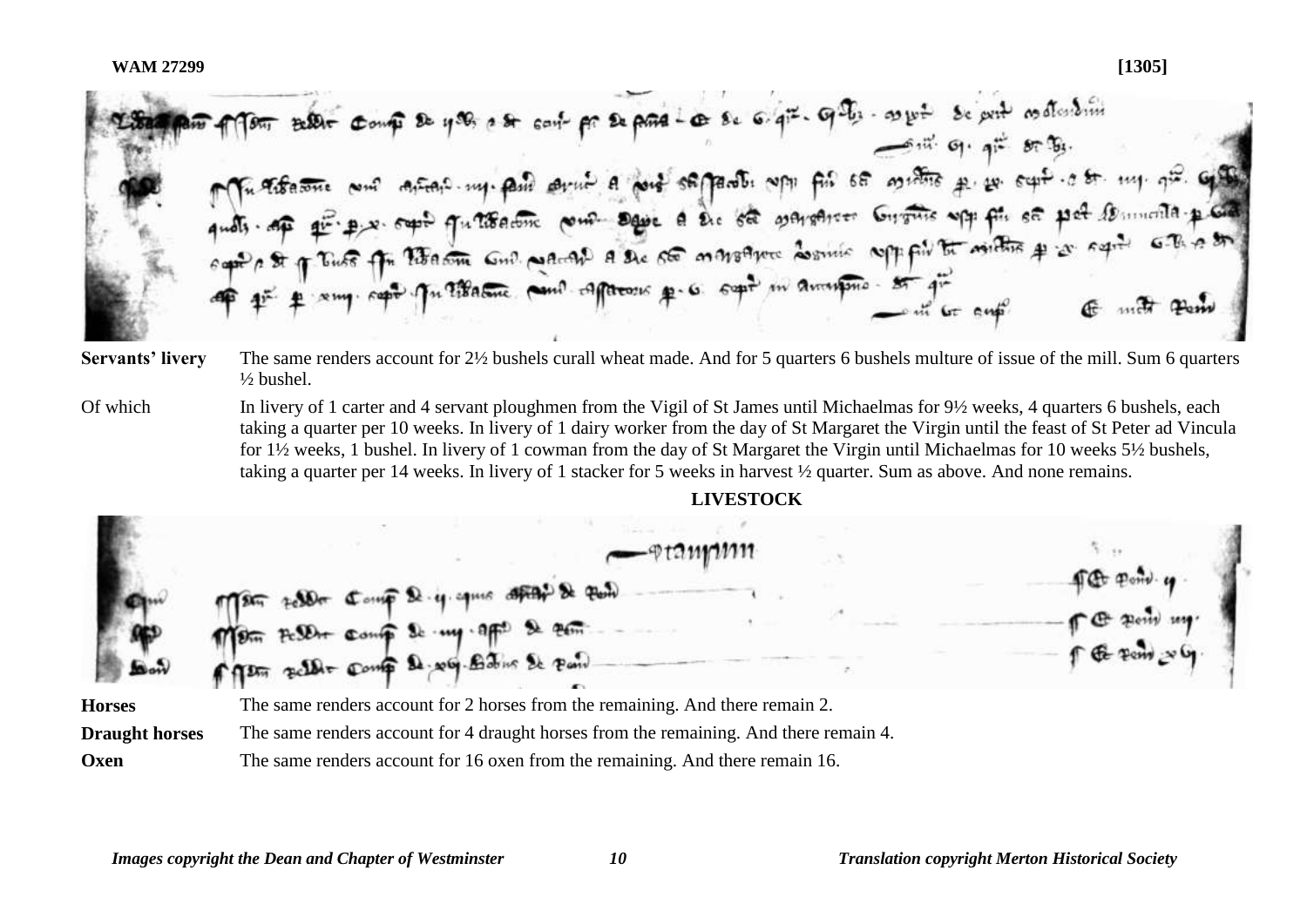BERT Comp De 400, a st cart pr De para Les se 6. qiz. qui. aux se prit es dissimi  $5\frac{1}{10}$   $9\frac{1}{10}$   $9\frac{1}{10}$   $8\frac{1}{10}$ and the there are well with the company of the self of the self of the self of the self of the self of the self<br>and of the property of the self of the self of the self of the self of the self of the self of the self of the

- **Servants' livery** The same renders account for 2½ bushels curall wheat made. And for 5 quarters 6 bushels multure of issue of the mill. Sum 6 quarters  $\frac{1}{2}$  bushel.
- Of which In livery of 1 carter and 4 servant ploughmen from the Vigil of St James until Michaelmas for 9½ weeks, 4 quarters 6 bushels, each taking a quarter per 10 weeks. In livery of 1 dairy worker from the day of St Margaret the Virgin until the feast of St Peter ad Vincula for 1½ weeks, 1 bushel. In livery of 1 cowman from the day of St Margaret the Virgin until Michaelmas for 10 weeks 5½ bushels, taking a quarter per 14 weeks. In livery of 1 stacker for 5 weeks in harvest ½ quarter. Sum as above. And none remains.

**LIVESTOCK Horses** The same renders account for 2 horses from the remaining. And there remain 2. **Draught horses** The same renders account for 4 draught horses from the remaining. And there remain 4.

**Oxen** The same renders account for 16 oxen from the remaining. And there remain 16.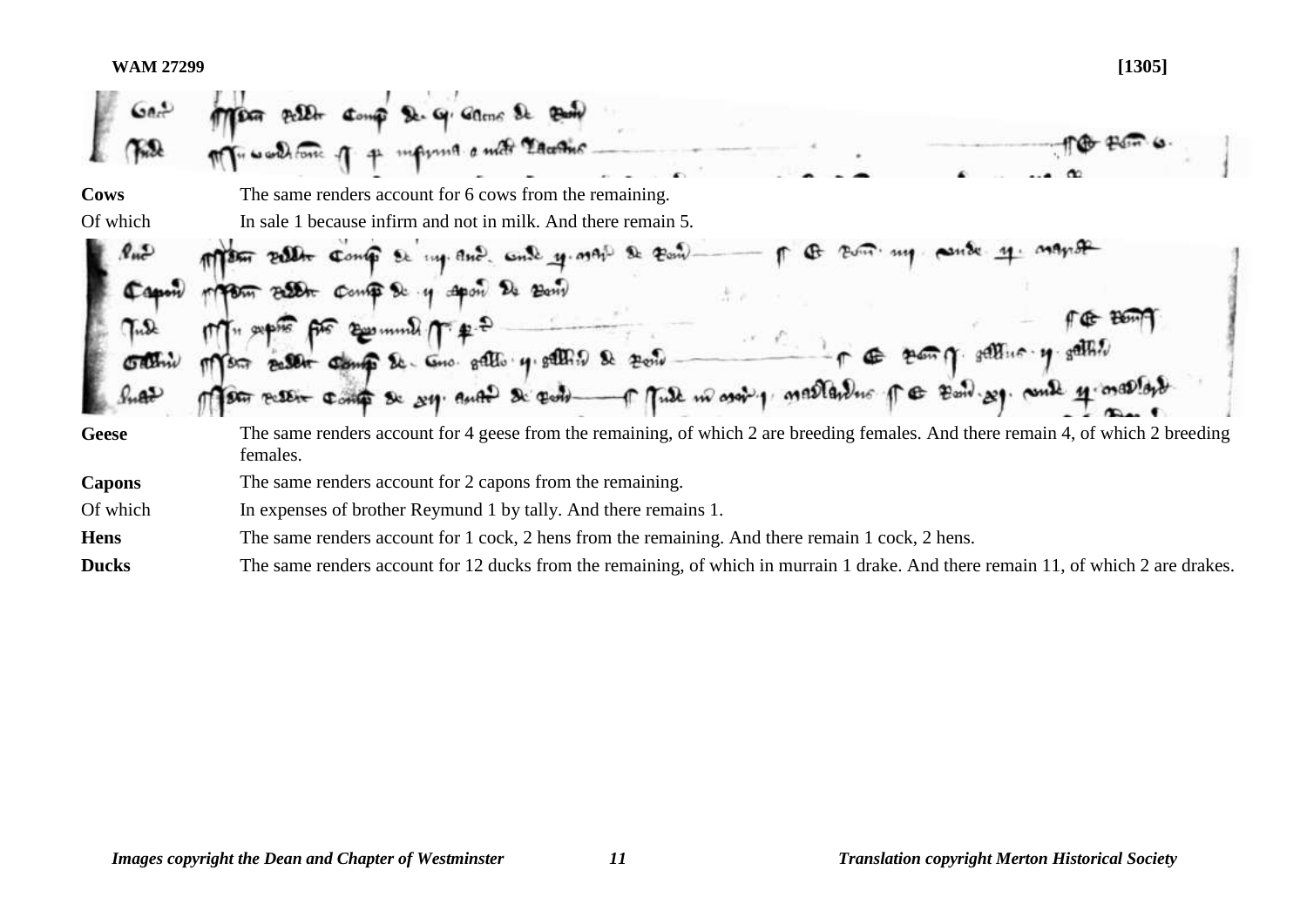## **WAM 27299 [1305]**

| $\omega$ er   |                                                                                                                                               |
|---------------|-----------------------------------------------------------------------------------------------------------------------------------------------|
| Cows          | The same renders account for 6 cows from the remaining.                                                                                       |
| Of which      | In sale 1 because infirm and not in milk. And there remain 5.                                                                                 |
|               | $2e$ $P_{\text{cm}}$<br>my and and y map                                                                                                      |
|               | Billet Comp & y Apon 24 Bany                                                                                                                  |
|               | $E$ munt $\pi$                                                                                                                                |
|               | Better Comp & Cno. gallo 4. galling &                                                                                                         |
|               | Tule in ason 1 mallandus for Band 29. could 11.<br>stor reserve compt se sy. Auto Sc cont                                                     |
| <b>Geese</b>  | The same renders account for 4 geese from the remaining, of which 2 are breeding females. And there remain 4, of which 2 breeding<br>females. |
| <b>Capons</b> | The same renders account for 2 capons from the remaining.                                                                                     |
| Of which      | In expenses of brother Reymund 1 by tally. And there remains 1.                                                                               |
| <b>Hens</b>   | The same renders account for 1 cock, 2 hens from the remaining. And there remain 1 cock, 2 hens.                                              |
| <b>Ducks</b>  | The same renders account for 12 ducks from the remaining, of which in murrain 1 drake. And there remain 11, of which 2 are drakes.            |